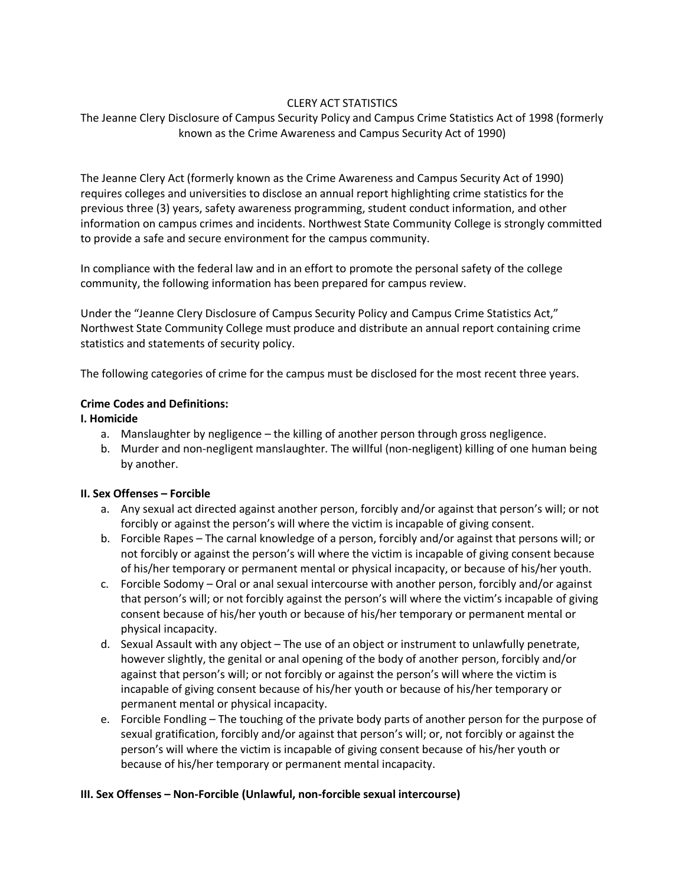## CLERY ACT STATISTICS

# The Jeanne Clery Disclosure of Campus Security Policy and Campus Crime Statistics Act of 1998 (formerly known as the Crime Awareness and Campus Security Act of 1990)

The Jeanne Clery Act (formerly known as the Crime Awareness and Campus Security Act of 1990) requires colleges and universities to disclose an annual report highlighting crime statistics for the previous three (3) years, safety awareness programming, student conduct information, and other information on campus crimes and incidents. Northwest State Community College is strongly committed to provide a safe and secure environment for the campus community.

In compliance with the federal law and in an effort to promote the personal safety of the college community, the following information has been prepared for campus review.

Under the "Jeanne Clery Disclosure of Campus Security Policy and Campus Crime Statistics Act," Northwest State Community College must produce and distribute an annual report containing crime statistics and statements of security policy.

The following categories of crime for the campus must be disclosed for the most recent three years.

#### **Crime Codes and Definitions:**

#### **I. Homicide**

- a. Manslaughter by negligence the killing of another person through gross negligence.
- b. Murder and non-negligent manslaughter. The willful (non-negligent) killing of one human being by another.

#### **II. Sex Offenses – Forcible**

- a. Any sexual act directed against another person, forcibly and/or against that person's will; or not forcibly or against the person's will where the victim is incapable of giving consent.
- b. Forcible Rapes The carnal knowledge of a person, forcibly and/or against that persons will; or not forcibly or against the person's will where the victim is incapable of giving consent because of his/her temporary or permanent mental or physical incapacity, or because of his/her youth.
- c. Forcible Sodomy Oral or anal sexual intercourse with another person, forcibly and/or against that person's will; or not forcibly against the person's will where the victim's incapable of giving consent because of his/her youth or because of his/her temporary or permanent mental or physical incapacity.
- d. Sexual Assault with any object The use of an object or instrument to unlawfully penetrate, however slightly, the genital or anal opening of the body of another person, forcibly and/or against that person's will; or not forcibly or against the person's will where the victim is incapable of giving consent because of his/her youth or because of his/her temporary or permanent mental or physical incapacity.
- e. Forcible Fondling The touching of the private body parts of another person for the purpose of sexual gratification, forcibly and/or against that person's will; or, not forcibly or against the person's will where the victim is incapable of giving consent because of his/her youth or because of his/her temporary or permanent mental incapacity.

#### **III. Sex Offenses – Non-Forcible (Unlawful, non-forcible sexual intercourse)**